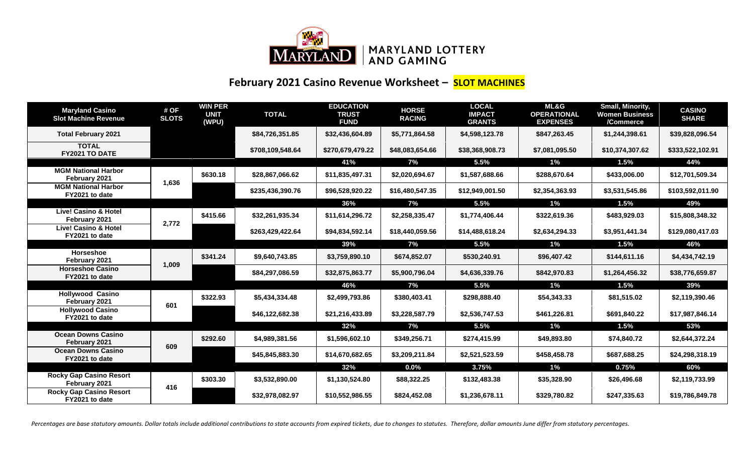

## **February 2021 Casino Revenue Worksheet – SLOT MACHINES**

| <b>Maryland Casino</b><br><b>Slot Machine Revenue</b> | # OF<br><b>SLOTS</b> | <b>WIN PER</b><br><b>UNIT</b><br>(WPU) | <b>TOTAL</b>     | <b>EDUCATION</b><br><b>TRUST</b><br><b>FUND</b> | <b>HORSE</b><br><b>RACING</b> | <b>LOCAL</b><br><b>IMPACT</b><br><b>GRANTS</b> | <b>ML&amp;G</b><br><b>OPERATIONAL</b><br><b>EXPENSES</b> | <b>Small, Minority,</b><br><b>Women Business</b><br>/Commerce | <b>CASINO</b><br><b>SHARE</b> |
|-------------------------------------------------------|----------------------|----------------------------------------|------------------|-------------------------------------------------|-------------------------------|------------------------------------------------|----------------------------------------------------------|---------------------------------------------------------------|-------------------------------|
| <b>Total February 2021</b>                            |                      |                                        | \$84,726,351.85  | \$32,436,604.89                                 | \$5,771,864.58                | \$4,598,123.78                                 | \$847,263.45                                             | \$1,244,398.61                                                | \$39,828,096.54               |
| <b>TOTAL</b><br>FY2021 TO DATE                        |                      |                                        | \$708,109,548.64 | \$270,679,479.22                                | \$48,083,654.66               | \$38,368,908.73                                | \$7,081,095.50                                           | \$10,374,307.62                                               | \$333,522,102.91              |
|                                                       |                      |                                        |                  | 41%                                             | 7%                            | 5.5%                                           | $1\%$                                                    | 1.5%                                                          | 44%                           |
| <b>MGM National Harbor</b><br>February 2021           | 1,636                | \$630.18                               | \$28,867,066.62  | \$11,835,497.31                                 | \$2,020,694.67                | \$1,587,688.66                                 | \$288,670.64                                             | \$433,006.00                                                  | \$12,701,509.34               |
| <b>MGM National Harbor</b><br>FY2021 to date          |                      |                                        | \$235,436,390.76 | \$96,528,920.22                                 | \$16,480,547.35               | \$12,949,001.50                                | \$2,354,363.93                                           | \$3,531,545.86                                                | \$103,592,011.90              |
|                                                       |                      |                                        |                  | 36%                                             | 7%                            | 5.5%                                           | $1\%$                                                    | 1.5%                                                          | 49%                           |
| <b>Live! Casino &amp; Hotel</b><br>February 2021      | 2,772                | \$415.66                               | \$32,261,935.34  | \$11,614,296.72                                 | \$2,258,335.47                | \$1,774,406.44                                 | \$322,619.36                                             | \$483,929.03                                                  | \$15,808,348.32               |
| <b>Live! Casino &amp; Hotel</b><br>FY2021 to date     |                      |                                        | \$263,429,422.64 | \$94,834,592.14                                 | \$18,440,059.56               | \$14,488,618.24                                | \$2,634,294.33                                           | \$3,951,441.34                                                | \$129,080,417.03              |
|                                                       |                      |                                        |                  | 39%                                             | 7%                            | 5.5%                                           | 1%                                                       | 1.5%                                                          | 46%                           |
| Horseshoe<br>February 2021                            | 1,009                | \$341.24                               | \$9,640,743.85   | \$3,759,890.10                                  | \$674,852.07                  | \$530,240.91                                   | \$96,407.42                                              | \$144,611.16                                                  | \$4,434,742.19                |
| <b>Horseshoe Casino</b><br>FY2021 to date             |                      |                                        | \$84,297,086.59  | \$32,875,863.77                                 | \$5,900,796.04                | \$4,636,339.76                                 | \$842,970.83                                             | \$1,264,456.32                                                | \$38,776,659.87               |
|                                                       |                      |                                        |                  | 46%                                             | 7%                            | 5.5%                                           | 1%                                                       | 1.5%                                                          | 39%                           |
| <b>Hollywood Casino</b><br>February 2021              | 601                  | \$322.93                               | \$5,434,334.48   | \$2,499,793.86                                  | \$380,403.41                  | \$298.888.40                                   | \$54,343.33                                              | \$81,515.02                                                   | \$2,119,390.46                |
| <b>Hollywood Casino</b><br>FY2021 to date             |                      |                                        | \$46,122,682.38  | \$21,216,433.89                                 | \$3,228,587.79                | \$2,536,747.53                                 | \$461,226.81                                             | \$691,840.22                                                  | \$17,987,846.14               |
|                                                       |                      |                                        |                  | 32%                                             | 7%                            | 5.5%                                           | 1%                                                       | 1.5%                                                          | 53%                           |
| <b>Ocean Downs Casino</b><br>February 2021            | 609                  | \$292.60                               | \$4,989,381.56   | \$1,596,602.10                                  | \$349,256.71                  | \$274,415.99                                   | \$49,893.80                                              | \$74,840.72                                                   | \$2,644,372.24                |
| <b>Ocean Downs Casino</b><br>FY2021 to date           |                      |                                        | \$45,845,883.30  | \$14,670,682.65                                 | \$3,209,211.84                | \$2,521,523.59                                 | \$458,458.78                                             | \$687,688.25                                                  | \$24,298,318.19               |
|                                                       |                      |                                        |                  | 32%                                             | 0.0%                          | 3.75%                                          | 1%                                                       | 0.75%                                                         | 60%                           |
| <b>Rocky Gap Casino Resort</b><br>February 2021       | 416                  | \$303.30                               | \$3,532,890.00   | \$1,130,524.80                                  | \$88,322.25                   | \$132,483.38                                   | \$35,328.90                                              | \$26,496.68                                                   | \$2,119,733.99                |
| <b>Rocky Gap Casino Resort</b><br>FY2021 to date      |                      |                                        | \$32,978,082.97  | \$10,552,986.55                                 | \$824.452.08                  | \$1,236,678.11                                 | \$329,780.82                                             | \$247.335.63                                                  | \$19,786,849.78               |

Percentages are base statutory amounts. Dollar totals include additional contributions to state accounts from expired tickets, due to changes to statutes. Therefore, dollar amounts June differ from statutory percentages.